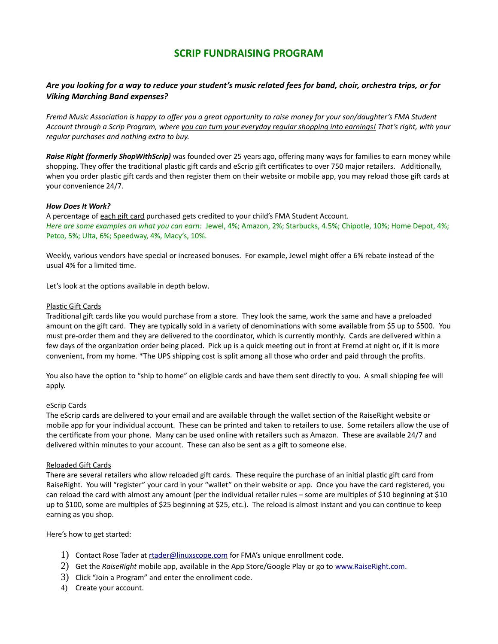# **SCRIP FUNDRAISING PROGRAM**

# *Are you looking for a way to reduce your student's music related fees for band, choir, orchestra trips, or for Viking Marching Band expenses?*

*Fremd Music Association is happy to offer you a great opportunity to raise money for your son/daughter's FMA Student Account through a Scrip Program, where you can turn your everyday regular shopping into earnings! That's right, with your regular purchases and nothing extra to buy.* 

*Raise Right (formerly ShopWithScrip)* was founded over 25 years ago, offering many ways for families to earn money while shopping. They offer the traditional plastic gift cards and eScrip gift certificates to over 750 major retailers. Additionally, when you order plastic gift cards and then register them on their website or mobile app, you may reload those gift cards at your convenience 24/7.

# *How Does It Work?*

A percentage of each gift card purchased gets credited to your child's FMA Student Account. *Here are some examples on what you can earn:* Jewel, 4%; Amazon, 2%; Starbucks, 4.5%; Chipotle, 10%; Home Depot, 4%; Petco, 5%; Ulta, 6%; Speedway, 4%, Macy's, 10%.

Weekly, various vendors have special or increased bonuses. For example, Jewel might offer a 6% rebate instead of the usual 4% for a limited time.

Let's look at the options available in depth below.

# Plastic Gift Cards

Traditional gift cards like you would purchase from a store. They look the same, work the same and have a preloaded amount on the gift card. They are typically sold in a variety of denominations with some available from \$5 up to \$500. You must pre-order them and they are delivered to the coordinator, which is currently monthly. Cards are delivered within a few days of the organization order being placed. Pick up is a quick meeting out in front at Fremd at night or, if it is more convenient, from my home. \*The UPS shipping cost is split among all those who order and paid through the profits.

You also have the option to "ship to home" on eligible cards and have them sent directly to you. A small shipping fee will apply.

# eScrip Cards

The eScrip cards are delivered to your email and are available through the wallet section of the RaiseRight website or mobile app for your individual account. These can be printed and taken to retailers to use. Some retailers allow the use of the certificate from your phone. Many can be used online with retailers such as Amazon. These are available 24/7 and delivered within minutes to your account. These can also be sent as a gift to someone else.

# Reloaded Gift Cards

There are several retailers who allow reloaded gift cards. These require the purchase of an initial plastic gift card from RaiseRight. You will "register" your card in your "wallet" on their website or app. Once you have the card registered, you can reload the card with almost any amount (per the individual retailer rules – some are multiples of \$10 beginning at \$10 up to \$100, some are multiples of \$25 beginning at \$25, etc.). The reload is almost instant and you can continue to keep earning as you shop.

Here's how to get started:

- 1) Contact Rose Tader at rtader@linuxscope.com for FMA's unique enrollment code.
- 2) Get the *RaiseRight* mobile app, available in the App Store/Google Play or go to www. RaiseRight .com.
- 3) Click "Join a Program" and enter the enrollment code.
- 4) Create your account.